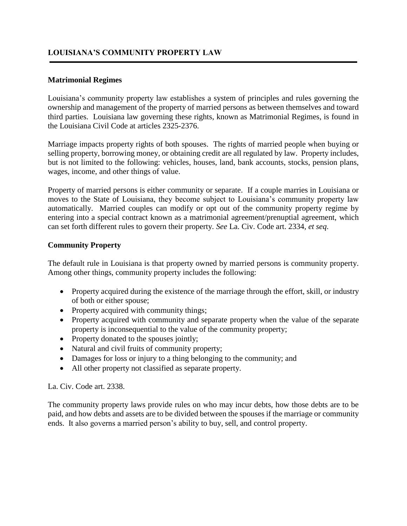### **LOUISIANA'S COMMUNITY PROPERTY LAW**

#### **Matrimonial Regimes**

Louisiana's community property law establishes a system of principles and rules governing the ownership and management of the property of married persons as between themselves and toward third parties. Louisiana law governing these rights, known as Matrimonial Regimes, is found in the Louisiana Civil Code at articles 2325-2376.

Marriage impacts property rights of both spouses. The rights of married people when buying or selling property, borrowing money, or obtaining credit are all regulated by law. Property includes, but is not limited to the following: vehicles, houses, land, bank accounts, stocks, pension plans, wages, income, and other things of value.

Property of married persons is either community or separate. If a couple marries in Louisiana or moves to the State of Louisiana, they become subject to Louisiana's community property law automatically. Married couples can modify or opt out of the community property regime by entering into a special contract known as a matrimonial agreement/prenuptial agreement, which can set forth different rules to govern their property. *See* La. Civ. Code art. 2334, *et seq*.

#### **Community Property**

The default rule in Louisiana is that property owned by married persons is community property. Among other things, community property includes the following:

- Property acquired during the existence of the marriage through the effort, skill, or industry of both or either spouse;
- Property acquired with community things;
- Property acquired with community and separate property when the value of the separate property is inconsequential to the value of the community property;
- Property donated to the spouses jointly;
- Natural and civil fruits of community property;
- Damages for loss or injury to a thing belonging to the community; and
- All other property not classified as separate property.

La. Civ. Code art. 2338.

The community property laws provide rules on who may incur debts, how those debts are to be paid, and how debts and assets are to be divided between the spouses if the marriage or community ends. It also governs a married person's ability to buy, sell, and control property.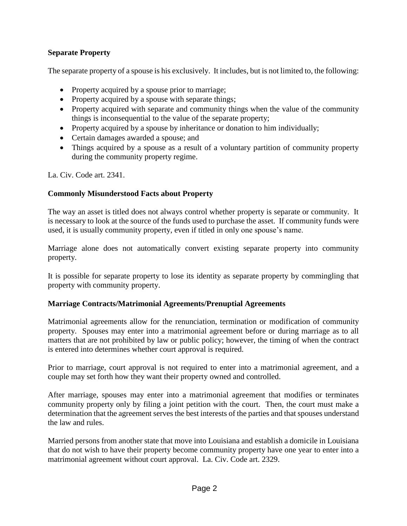## **Separate Property**

The separate property of a spouse is his exclusively. It includes, but is not limited to, the following:

- Property acquired by a spouse prior to marriage;
- Property acquired by a spouse with separate things;
- Property acquired with separate and community things when the value of the community things is inconsequential to the value of the separate property;
- Property acquired by a spouse by inheritance or donation to him individually;
- Certain damages awarded a spouse; and
- Things acquired by a spouse as a result of a voluntary partition of community property during the community property regime.

La. Civ. Code art. 2341.

# **Commonly Misunderstood Facts about Property**

The way an asset is titled does not always control whether property is separate or community. It is necessary to look at the source of the funds used to purchase the asset. If community funds were used, it is usually community property, even if titled in only one spouse's name.

Marriage alone does not automatically convert existing separate property into community property.

It is possible for separate property to lose its identity as separate property by commingling that property with community property.

### **Marriage Contracts/Matrimonial Agreements/Prenuptial Agreements**

Matrimonial agreements allow for the renunciation, termination or modification of community property. Spouses may enter into a matrimonial agreement before or during marriage as to all matters that are not prohibited by law or public policy; however, the timing of when the contract is entered into determines whether court approval is required.

Prior to marriage, court approval is not required to enter into a matrimonial agreement, and a couple may set forth how they want their property owned and controlled.

After marriage, spouses may enter into a matrimonial agreement that modifies or terminates community property only by filing a joint petition with the court. Then, the court must make a determination that the agreement serves the best interests of the parties and that spouses understand the law and rules.

Married persons from another state that move into Louisiana and establish a domicile in Louisiana that do not wish to have their property become community property have one year to enter into a matrimonial agreement without court approval. La. Civ. Code art. 2329.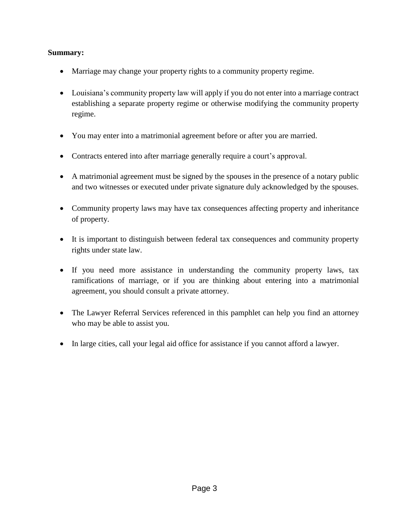### **Summary:**

- Marriage may change your property rights to a community property regime.
- Louisiana's community property law will apply if you do not enter into a marriage contract establishing a separate property regime or otherwise modifying the community property regime.
- You may enter into a matrimonial agreement before or after you are married.
- Contracts entered into after marriage generally require a court's approval.
- A matrimonial agreement must be signed by the spouses in the presence of a notary public and two witnesses or executed under private signature duly acknowledged by the spouses.
- Community property laws may have tax consequences affecting property and inheritance of property.
- It is important to distinguish between federal tax consequences and community property rights under state law.
- If you need more assistance in understanding the community property laws, tax ramifications of marriage, or if you are thinking about entering into a matrimonial agreement, you should consult a private attorney.
- The Lawyer Referral Services referenced in this pamphlet can help you find an attorney who may be able to assist you.
- In large cities, call your legal aid office for assistance if you cannot afford a lawyer.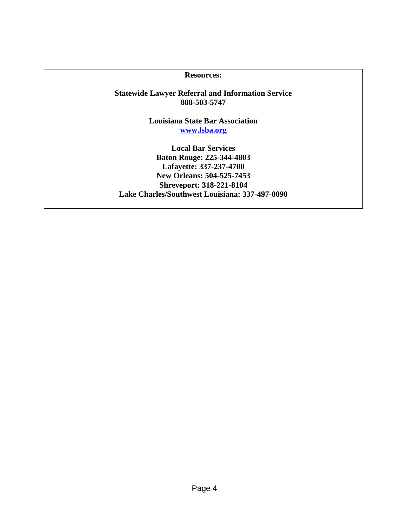**Resources:**

**Statewide Lawyer Referral and Information Service 888-503-5747**

> **Louisiana State Bar Association [www.lsba.org](http://www.lsba.org/)**

**Local Bar Services Baton Rouge: 225-344-4803 Lafayette: 337-237-4700 New Orleans: 504-525-7453 Shreveport: 318-221-8104 Lake Charles/Southwest Louisiana: 337-497-0090**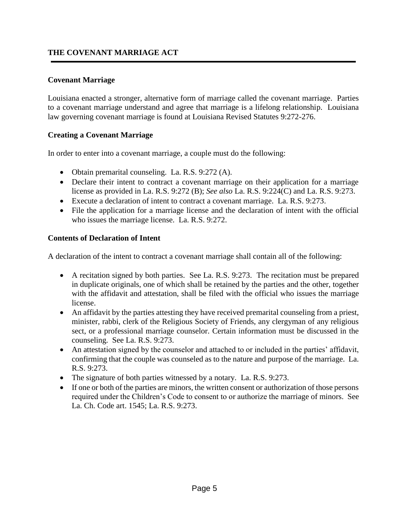# **THE COVENANT MARRIAGE ACT**

### **Covenant Marriage**

Louisiana enacted a stronger, alternative form of marriage called the covenant marriage. Parties to a covenant marriage understand and agree that marriage is a lifelong relationship. Louisiana law governing covenant marriage is found at Louisiana Revised Statutes 9:272-276.

### **Creating a Covenant Marriage**

In order to enter into a covenant marriage, a couple must do the following:

- Obtain premarital counseling. La. R.S. 9:272 (A).
- Declare their intent to contract a covenant marriage on their application for a marriage license as provided in La. R.S. 9:272 (B); *See also* La. R.S. 9:224(C) and La. R.S. 9:273.
- Execute a declaration of intent to contract a covenant marriage. La. R.S. 9:273.
- File the application for a marriage license and the declaration of intent with the official who issues the marriage license. La. R.S. 9:272.

### **Contents of Declaration of Intent**

A declaration of the intent to contract a covenant marriage shall contain all of the following:

- A recitation signed by both parties. See La. R.S. 9:273. The recitation must be prepared in duplicate originals, one of which shall be retained by the parties and the other, together with the affidavit and attestation, shall be filed with the official who issues the marriage license.
- An affidavit by the parties attesting they have received premarital counseling from a priest, minister, rabbi, clerk of the Religious Society of Friends, any clergyman of any religious sect, or a professional marriage counselor. Certain information must be discussed in the counseling. See La. R.S. 9:273.
- An attestation signed by the counselor and attached to or included in the parties' affidavit, confirming that the couple was counseled as to the nature and purpose of the marriage. La. R.S. 9:273.
- The signature of both parties witnessed by a notary. La. R.S. 9:273.
- If one or both of the parties are minors, the written consent or authorization of those persons required under the Children's Code to consent to or authorize the marriage of minors. See La. Ch. Code art. 1545; La. R.S. 9:273.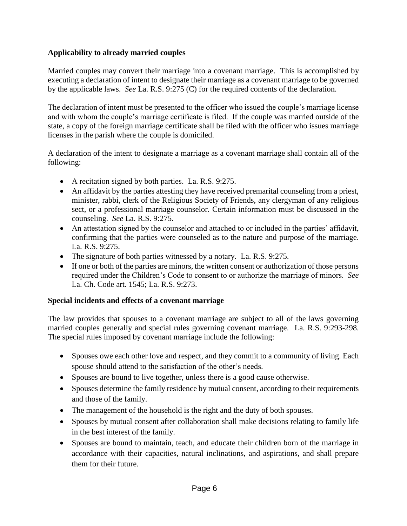# **Applicability to already married couples**

Married couples may convert their marriage into a covenant marriage. This is accomplished by executing a declaration of intent to designate their marriage as a covenant marriage to be governed by the applicable laws. *See* La. R.S. 9:275 (C) for the required contents of the declaration.

The declaration of intent must be presented to the officer who issued the couple's marriage license and with whom the couple's marriage certificate is filed. If the couple was married outside of the state, a copy of the foreign marriage certificate shall be filed with the officer who issues marriage licenses in the parish where the couple is domiciled.

A declaration of the intent to designate a marriage as a covenant marriage shall contain all of the following:

- A recitation signed by both parties. La. R.S. 9:275.
- An affidavit by the parties attesting they have received premarital counseling from a priest, minister, rabbi, clerk of the Religious Society of Friends, any clergyman of any religious sect, or a professional marriage counselor. Certain information must be discussed in the counseling. *See* La. R.S. 9:275.
- An attestation signed by the counselor and attached to or included in the parties' affidavit, confirming that the parties were counseled as to the nature and purpose of the marriage. La. R.S. 9:275.
- The signature of both parties witnessed by a notary. La. R.S. 9:275.
- If one or both of the parties are minors, the written consent or authorization of those persons required under the Children's Code to consent to or authorize the marriage of minors. *See* La. Ch. Code art. 1545; La. R.S. 9:273.

### **Special incidents and effects of a covenant marriage**

The law provides that spouses to a covenant marriage are subject to all of the laws governing married couples generally and special rules governing covenant marriage. La. R.S. 9:293-298. The special rules imposed by covenant marriage include the following:

- Spouses owe each other love and respect, and they commit to a community of living. Each spouse should attend to the satisfaction of the other's needs.
- Spouses are bound to live together, unless there is a good cause otherwise.
- Spouses determine the family residence by mutual consent, according to their requirements and those of the family.
- The management of the household is the right and the duty of both spouses.
- Spouses by mutual consent after collaboration shall make decisions relating to family life in the best interest of the family.
- Spouses are bound to maintain, teach, and educate their children born of the marriage in accordance with their capacities, natural inclinations, and aspirations, and shall prepare them for their future.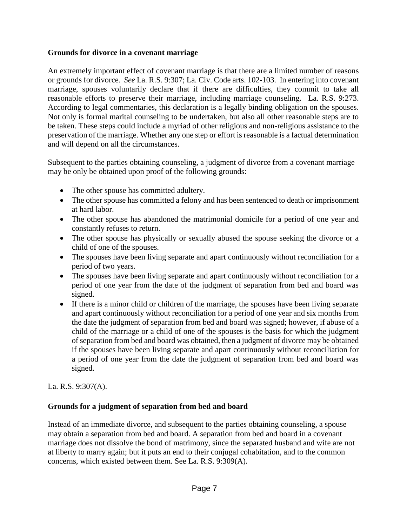### **Grounds for divorce in a covenant marriage**

An extremely important effect of covenant marriage is that there are a limited number of reasons or grounds for divorce*. See* La. R.S. 9:307; La. Civ. Code arts. 102-103. In entering into covenant marriage, spouses voluntarily declare that if there are difficulties, they commit to take all reasonable efforts to preserve their marriage, including marriage counseling. La. R.S. 9:273. According to legal commentaries, this declaration is a legally binding obligation on the spouses. Not only is formal marital counseling to be undertaken, but also all other reasonable steps are to be taken. These steps could include a myriad of other religious and non-religious assistance to the preservation of the marriage. Whether any one step or effort is reasonable is a factual determination and will depend on all the circumstances.

Subsequent to the parties obtaining counseling, a judgment of divorce from a covenant marriage may be only be obtained upon proof of the following grounds:

- The other spouse has committed adultery.
- The other spouse has committed a felony and has been sentenced to death or imprisonment at hard labor.
- The other spouse has abandoned the matrimonial domicile for a period of one year and constantly refuses to return.
- The other spouse has physically or sexually abused the spouse seeking the divorce or a child of one of the spouses.
- The spouses have been living separate and apart continuously without reconciliation for a period of two years.
- The spouses have been living separate and apart continuously without reconciliation for a period of one year from the date of the judgment of separation from bed and board was signed.
- If there is a minor child or children of the marriage, the spouses have been living separate and apart continuously without reconciliation for a period of one year and six months from the date the judgment of separation from bed and board was signed; however, if abuse of a child of the marriage or a child of one of the spouses is the basis for which the judgment of separation from bed and board was obtained, then a judgment of divorce may be obtained if the spouses have been living separate and apart continuously without reconciliation for a period of one year from the date the judgment of separation from bed and board was signed.

# La. R.S. 9:307(A).

# **Grounds for a judgment of separation from bed and board**

Instead of an immediate divorce, and subsequent to the parties obtaining counseling, a spouse may obtain a separation from bed and board. A separation from bed and board in a covenant marriage does not dissolve the bond of matrimony, since the separated husband and wife are not at liberty to marry again; but it puts an end to their conjugal cohabitation, and to the common concerns, which existed between them. See La. R.S. 9:309(A).